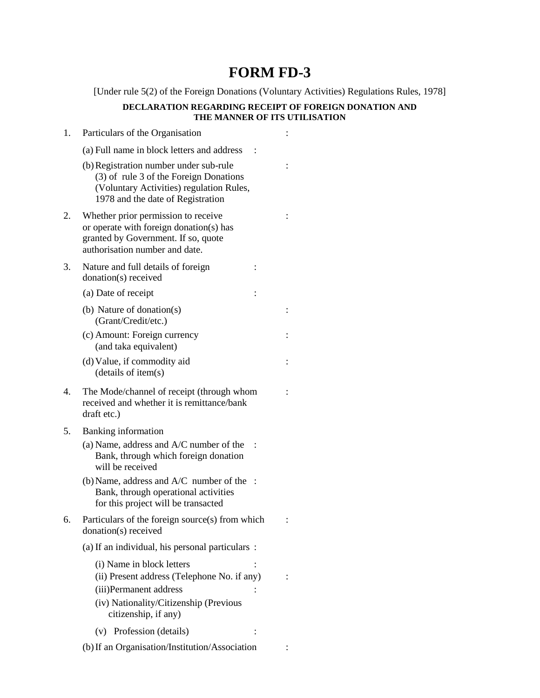## **FORM FD-3**

[Under rule 5(2) of the Foreign Donations (Voluntary Activities) Regulations Rules, 1978]

## **DECLARATION REGARDING RECEIPT OF FOREIGN DONATION AND THE MANNER OF ITS UTILISATION**

| 1. | Particulars of the Organisation                                                                                                                                      |  |
|----|----------------------------------------------------------------------------------------------------------------------------------------------------------------------|--|
|    | (a) Full name in block letters and address                                                                                                                           |  |
|    | (b) Registration number under sub-rule<br>(3) of rule 3 of the Foreign Donations<br>(Voluntary Activities) regulation Rules,<br>1978 and the date of Registration    |  |
| 2. | Whether prior permission to receive<br>or operate with foreign donation(s) has<br>granted by Government. If so, quote<br>authorisation number and date.              |  |
| 3. | Nature and full details of foreign<br>donation(s) received                                                                                                           |  |
|    | (a) Date of receipt                                                                                                                                                  |  |
|    | (b) Nature of donation(s)<br>(Grant/Credit/etc.)                                                                                                                     |  |
|    | (c) Amount: Foreign currency<br>(and taka equivalent)                                                                                                                |  |
|    | (d) Value, if commodity aid<br>(details of item(s)                                                                                                                   |  |
| 4. | The Mode/channel of receipt (through whom<br>received and whether it is remittance/bank<br>draft etc.)                                                               |  |
| 5. | <b>Banking information</b>                                                                                                                                           |  |
|    | (a) Name, address and $A/C$ number of the<br>Bank, through which foreign donation<br>will be received                                                                |  |
|    | $(b)$ Name, address and $A/C$ number of the<br>Bank, through operational activities<br>for this project will be transacted                                           |  |
| 6. | Particulars of the foreign source(s) from which<br>donation(s) received                                                                                              |  |
|    | (a) If an individual, his personal particulars :                                                                                                                     |  |
|    | (i) Name in block letters<br>(ii) Present address (Telephone No. if any)<br>(iii)Permanent address<br>(iv) Nationality/Citizenship (Previous<br>citizenship, if any) |  |
|    | (v) Profession (details)                                                                                                                                             |  |
|    | (b) If an Organisation/Institution/Association                                                                                                                       |  |